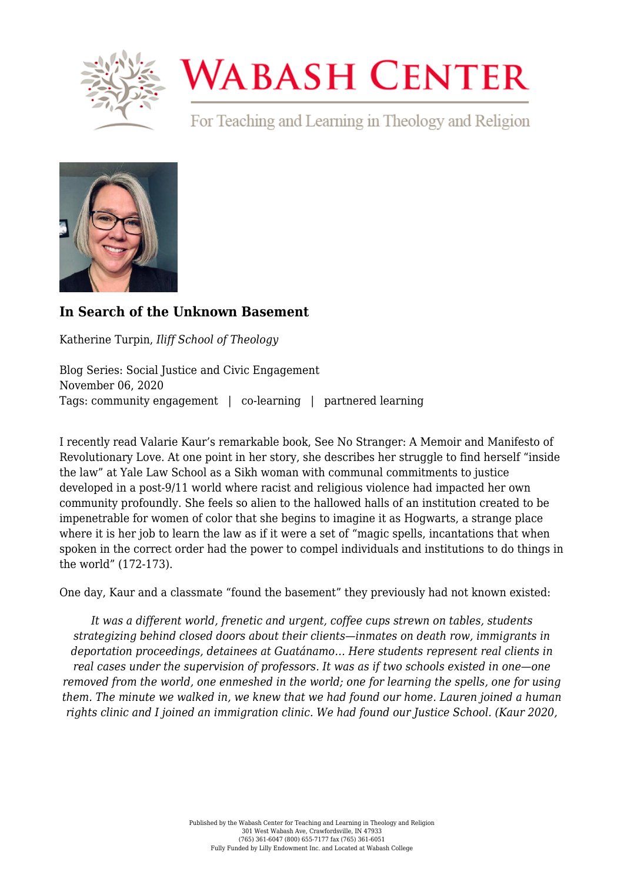

## **WABASH CENTER**

For Teaching and Learning in Theology and Religion



## **[In Search of the Unknown Basement](https://www.wabashcenter.wabash.edu/2020/11/in-search-of-the-unknown-basement/)**

Katherine Turpin, *Iliff School of Theology*

Blog Series: Social Justice and Civic Engagement November 06, 2020 Tags: community engagement | co-learning | partnered learning

I recently read Valarie Kaur's remarkable book, [See No Stranger: A Memoir and Manifesto of](https://valariekaur.com/see-no-stranger/) [Revolutionary Love.](https://valariekaur.com/see-no-stranger/) At one point in her story, she describes her struggle to find herself "inside the law" at Yale Law School as a Sikh woman with communal commitments to justice developed in a post-9/11 world where racist and religious violence had impacted her own community profoundly. She feels so alien to the hallowed halls of an institution created to be impenetrable for women of color that she begins to imagine it as Hogwarts, a strange place where it is her job to learn the law as if it were a set of "magic spells, incantations that when spoken in the correct order had the power to compel individuals and institutions to do things in the world" (172-173).

One day, Kaur and a classmate "found the basement" they previously had not known existed:

*It was a different world, frenetic and urgent, coffee cups strewn on tables, students strategizing behind closed doors about their clients—inmates on death row, immigrants in deportation proceedings, detainees at Guatánamo… Here students represent real clients in real cases under the supervision of professors. It was as if two schools existed in one—one removed from the world, one enmeshed in the world; one for learning the spells, one for using them. The minute we walked in, we knew that we had found our home. Lauren joined a human rights clinic and I joined an immigration clinic. We had found our Justice School. (Kaur 2020,*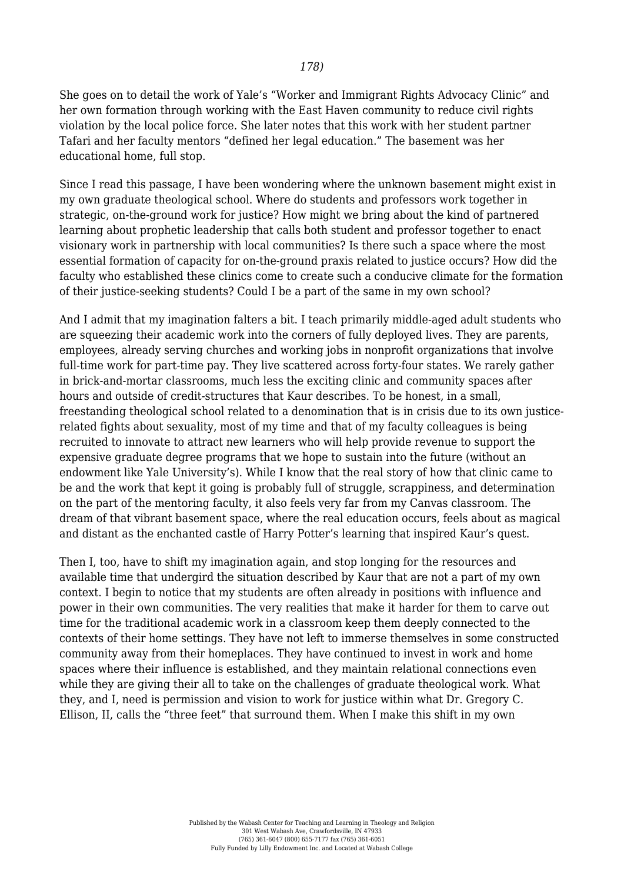She goes on to detail the work of Yale's "Worker and Immigrant Rights Advocacy Clinic" and her own formation through working with the East Haven community to reduce civil rights violation by the local police force. She later notes that this work with her student partner Tafari and her faculty mentors "defined her legal education." The basement was her educational home, full stop.

Since I read this passage, I have been wondering where the unknown basement might exist in my own graduate theological school. Where do students and professors work together in strategic, on-the-ground work for justice? How might we bring about the kind of partnered learning about prophetic leadership that calls both student and professor together to enact visionary work in partnership with local communities? Is there such a space where the most essential formation of capacity for on-the-ground praxis related to justice occurs? How did the faculty who established these clinics come to create such a conducive climate for the formation of their justice-seeking students? Could I be a part of the same in my own school?

And I admit that my imagination falters a bit. I teach primarily middle-aged adult students who are squeezing their academic work into the corners of fully deployed lives. They are parents, employees, already serving churches and working jobs in nonprofit organizations that involve full-time work for part-time pay. They live scattered across forty-four states. We rarely gather in brick-and-mortar classrooms, much less the exciting clinic and community spaces after hours and outside of credit-structures that Kaur describes. To be honest, in a small, freestanding theological school related to a denomination that is in crisis due to its own justicerelated fights about sexuality, most of my time and that of my faculty colleagues is being recruited to innovate to attract new learners who will help provide revenue to support the expensive graduate degree programs that we hope to sustain into the future (without an endowment like Yale University's). While I know that the real story of how that clinic came to be and the work that kept it going is probably full of struggle, scrappiness, and determination on the part of the mentoring faculty, it also feels very far from my Canvas classroom. The dream of that vibrant basement space, where the real education occurs, feels about as magical and distant as the enchanted castle of Harry Potter's learning that inspired Kaur's quest.

Then I, too, have to shift my imagination again, and stop longing for the resources and available time that undergird the situation described by Kaur that are not a part of my own context. I begin to notice that my students are often already in positions with influence and power in their own communities. The very realities that make it harder for them to carve out time for the traditional academic work in a classroom keep them deeply connected to the contexts of their home settings. They have not left to immerse themselves in some constructed community away from their homeplaces. They have continued to invest in work and home spaces where their influence is established, and they maintain relational connections even while they are giving their all to take on the challenges of graduate theological work. What they, and I, need is permission and vision to work for justice within what Dr. [Gregory C.](https://www.youtube.com/watch?v=Wu_M08LoX-Y) [Ellison, II, calls the "three feet"](https://www.youtube.com/watch?v=Wu_M08LoX-Y) that surround them. When I make this shift in my own